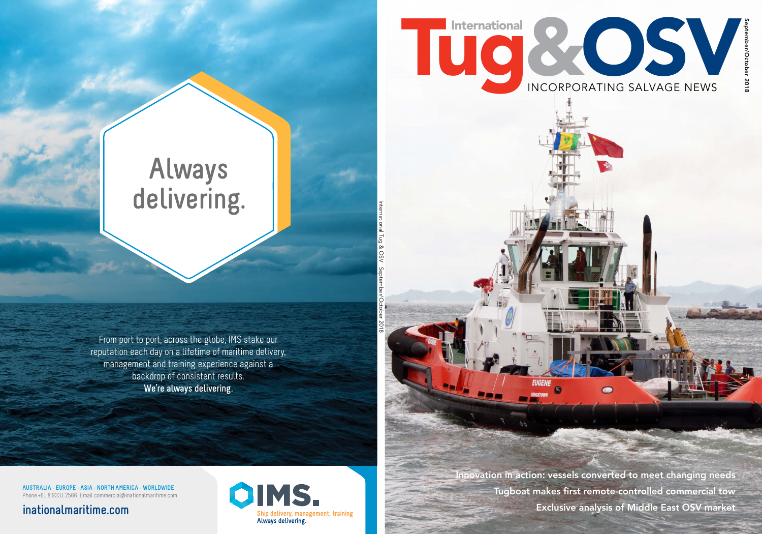# Tugal International INCORPORATING SALVAGE NEWS International COSV

September/October 2018 September/October 2018

Innovation in action: vessels converted to meet changing needs Tugboat makes first remote-controlled commercial tow Exclusive analysis of Middle East OSV market

EUGENE

KINGSTOWN

ÀФ

O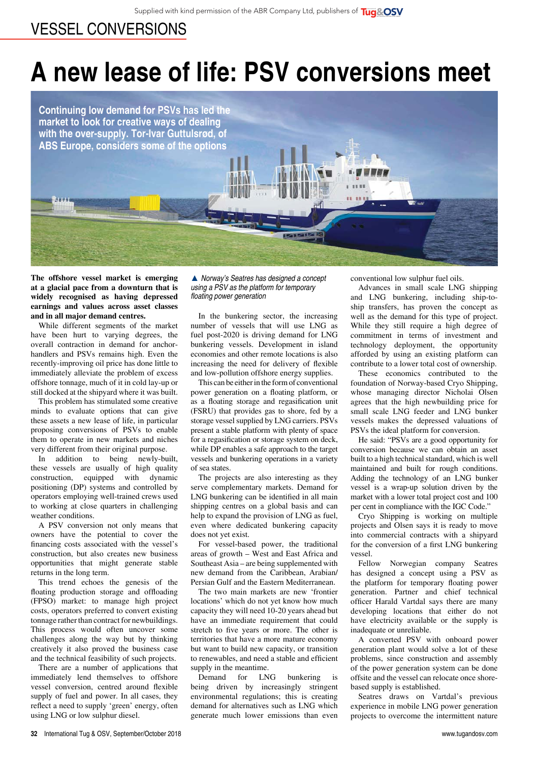#### vessel conversions

## **A new lease of life: PSV conversions meet**

**Continuing low demand for PSVs has led the market to look for creative ways of dealing with the over-supply. Tor-Ivar Guttulsrød, of ABS Europe, considers some of the options**

**The offshore vessel market is emerging at a glacial pace from a downturn that is widely recognised as having depressed earnings and values across asset classes and in all major demand centres.**

While different segments of the market have been hurt to varying degrees, the overall contraction in demand for anchorhandlers and PSVs remains high. Even the recently-improving oil price has done little to immediately alleviate the problem of excess offshore tonnage, much of it in cold lay-up or still docked at the shipyard where it was built.

This problem has stimulated some creative minds to evaluate options that can give these assets a new lease of life, in particular proposing conversions of PSVs to enable them to operate in new markets and niches very different from their original purpose.

In addition to being newly-built, these vessels are usually of high quality construction, equipped with dynamic positioning (DP) systems and controlled by operators employing well-trained crews used to working at close quarters in challenging weather conditions.

A PSV conversion not only means that owners have the potential to cover the financing costs associated with the vessel's construction, but also creates new business opportunities that might generate stable returns in the long term.

This trend echoes the genesis of the floating production storage and offloading (FPSO) market: to manage high project costs, operators preferred to convert existing tonnage rather than contract for newbuildings. This process would often uncover some challenges along the way but by thinking creatively it also proved the business case and the technical feasibility of such projects.

There are a number of applications that immediately lend themselves to offshore vessel conversion, centred around flexible supply of fuel and power. In all cases, they reflect a need to supply 'green' energy, often using LNG or low sulphur diesel.

▲ *Norway's Seatres has designed a concept using a PSV as the platform for temporary*  floating power generation

In the bunkering sector, the increasing number of vessels that will use LNG as fuel post-2020 is driving demand for LNG bunkering vessels. Development in island economies and other remote locations is also increasing the need for delivery of flexible and low-pollution offshore energy supplies.

This can be either in the form of conventional power generation on a floating platform, or as a floating storage and regasification unit (FSRU) that provides gas to shore, fed by a storage vessel supplied by LNG carriers. PSVs present a stable platform with plenty of space for a regasification or storage system on deck, while DP enables a safe approach to the target vessels and bunkering operations in a variety of sea states.

The projects are also interesting as they serve complementary markets. Demand for LNG bunkering can be identified in all main shipping centres on a global basis and can help to expand the provision of LNG as fuel, even where dedicated bunkering capacity does not yet exist.

For vessel-based power, the traditional areas of growth – West and East Africa and Southeast Asia – are being supplemented with new demand from the Caribbean, Arabian/ Persian Gulf and the Eastern Mediterranean.

The two main markets are new 'frontier locations' which do not yet know how much capacity they will need 10-20 years ahead but have an immediate requirement that could stretch to five years or more. The other is territories that have a more mature economy but want to build new capacity, or transition to renewables, and need a stable and efficient supply in the meantime.

Demand for LNG bunkering is being driven by increasingly stringent environmental regulations; this is creating demand for alternatives such as LNG which generate much lower emissions than even conventional low sulphur fuel oils.

Advances in small scale LNG shipping and LNG bunkering, including ship-toship transfers, has proven the concept as well as the demand for this type of project. While they still require a high degree of commitment in terms of investment and technology deployment, the opportunity afforded by using an existing platform can contribute to a lower total cost of ownership.

These economics contributed to the foundation of Norway-based Cryo Shipping, whose managing director Nicholai Olsen agrees that the high newbuilding price for small scale LNG feeder and LNG bunker vessels makes the depressed valuations of PSVs the ideal platform for conversion.

He said: "PSVs are a good opportunity for conversion because we can obtain an asset built to a high technical standard, which is well maintained and built for rough conditions. Adding the technology of an LNG bunker vessel is a wrap-up solution driven by the market with a lower total project cost and 100 per cent in compliance with the IGC Code."

Cryo Shipping is working on multiple projects and Olsen says it is ready to move into commercial contracts with a shipyard for the conversion of a first LNG bunkering vessel.

Fellow Norwegian company Seatres has designed a concept using a PSV as the platform for temporary floating power generation. Partner and chief technical officer Harald Vartdal says there are many developing locations that either do not have electricity available or the supply is inadequate or unreliable.

A converted PSV with onboard power generation plant would solve a lot of these problems, since construction and assembly of the power generation system can be done offsite and the vessel can relocate once shorebased supply is established.

Seatres draws on Vartdal's previous experience in mobile LNG power generation projects to overcome the intermittent nature